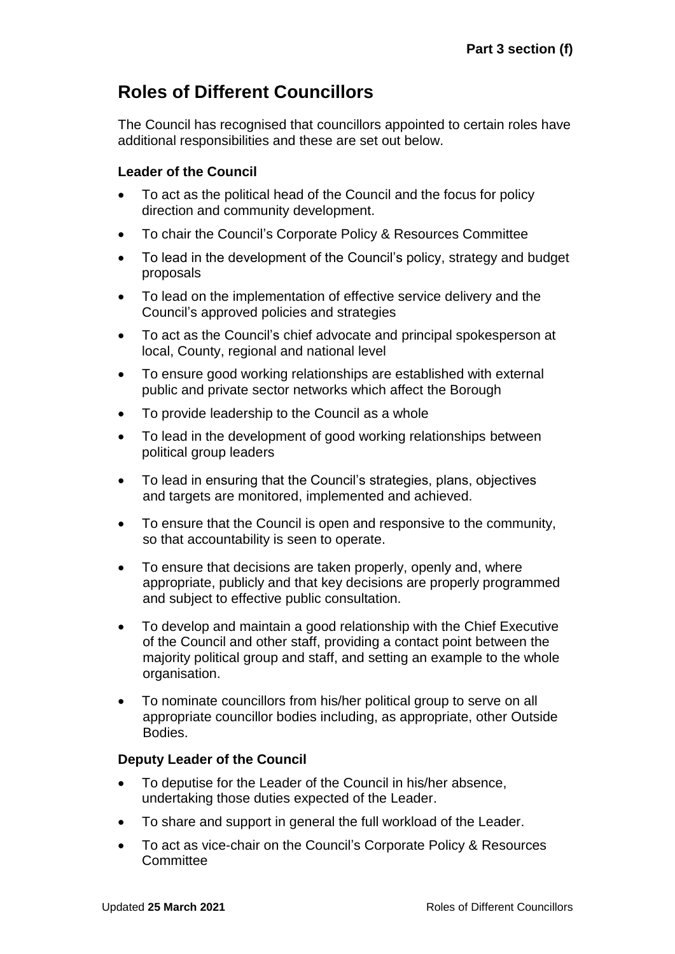# **Roles of Different Councillors**

The Council has recognised that councillors appointed to certain roles have additional responsibilities and these are set out below.

# **Leader of the Council**

- To act as the political head of the Council and the focus for policy direction and community development.
- To chair the Council's Corporate Policy & Resources Committee
- To lead in the development of the Council's policy, strategy and budget proposals
- To lead on the implementation of effective service delivery and the Council's approved policies and strategies
- To act as the Council's chief advocate and principal spokesperson at local, County, regional and national level
- To ensure good working relationships are established with external public and private sector networks which affect the Borough
- To provide leadership to the Council as a whole
- To lead in the development of good working relationships between political group leaders
- To lead in ensuring that the Council's strategies, plans, objectives and targets are monitored, implemented and achieved.
- To ensure that the Council is open and responsive to the community, so that accountability is seen to operate.
- To ensure that decisions are taken properly, openly and, where appropriate, publicly and that key decisions are properly programmed and subject to effective public consultation.
- To develop and maintain a good relationship with the Chief Executive of the Council and other staff, providing a contact point between the majority political group and staff, and setting an example to the whole organisation.
- To nominate councillors from his/her political group to serve on all appropriate councillor bodies including, as appropriate, other Outside Bodies.

# **Deputy Leader of the Council**

- To deputise for the Leader of the Council in his/her absence, undertaking those duties expected of the Leader.
- To share and support in general the full workload of the Leader.
- To act as vice-chair on the Council's Corporate Policy & Resources **Committee**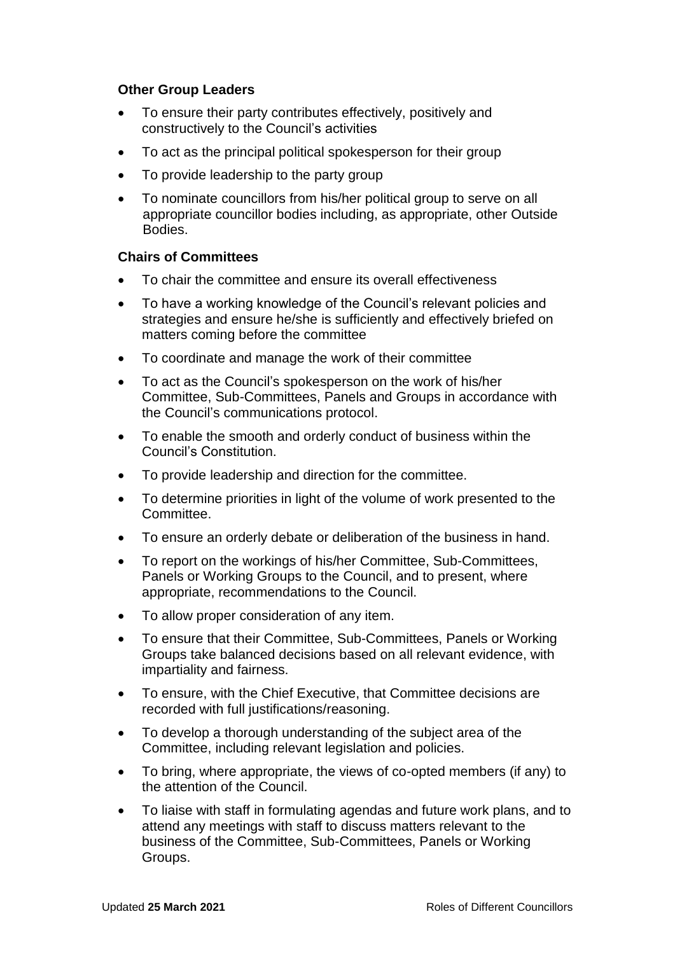## **Other Group Leaders**

- To ensure their party contributes effectively, positively and constructively to the Council's activities
- To act as the principal political spokesperson for their group
- To provide leadership to the party group
- To nominate councillors from his/her political group to serve on all appropriate councillor bodies including, as appropriate, other Outside Bodies.

## **Chairs of Committees**

- To chair the committee and ensure its overall effectiveness
- To have a working knowledge of the Council's relevant policies and strategies and ensure he/she is sufficiently and effectively briefed on matters coming before the committee
- To coordinate and manage the work of their committee
- To act as the Council's spokesperson on the work of his/her Committee, Sub-Committees, Panels and Groups in accordance with the Council's communications protocol.
- To enable the smooth and orderly conduct of business within the Council's Constitution.
- To provide leadership and direction for the committee.
- To determine priorities in light of the volume of work presented to the Committee.
- To ensure an orderly debate or deliberation of the business in hand.
- To report on the workings of his/her Committee, Sub-Committees, Panels or Working Groups to the Council, and to present, where appropriate, recommendations to the Council.
- To allow proper consideration of any item.
- To ensure that their Committee, Sub-Committees, Panels or Working Groups take balanced decisions based on all relevant evidence, with impartiality and fairness.
- To ensure, with the Chief Executive, that Committee decisions are recorded with full justifications/reasoning.
- To develop a thorough understanding of the subject area of the Committee, including relevant legislation and policies.
- To bring, where appropriate, the views of co-opted members (if any) to the attention of the Council.
- To liaise with staff in formulating agendas and future work plans, and to attend any meetings with staff to discuss matters relevant to the business of the Committee, Sub-Committees, Panels or Working Groups.